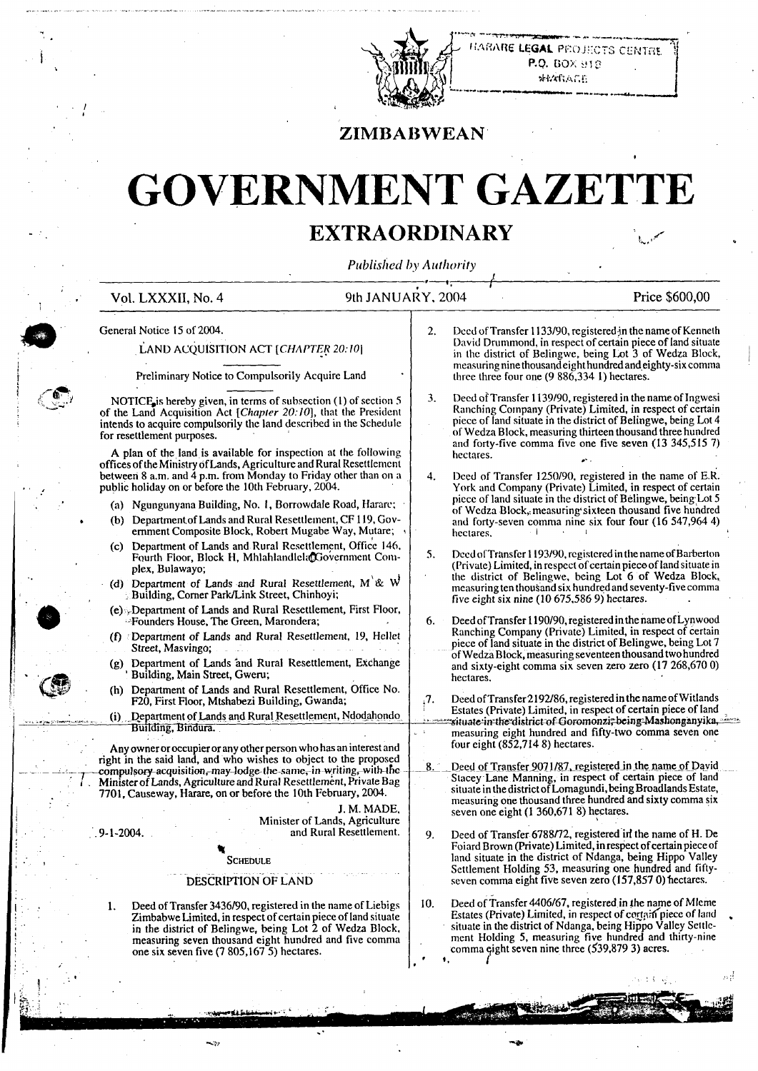

*HARE LEGAL PROJECTS CENTRE* P.Q. BOX 910 **WEARAGE** 

### **ZIMBABWEAN**

# **GOVERNMENT GAZETTE**

## **EXTRAORDINARY**

*Published by Authority*

**Vol. LXXXII, No. 4 9th JANUARY, 2004 Price \$600,00**

-•7

*t f*

**{**

*m* **General Notice 15 of 2004.**

#### **LAND ACQUISITION ACT** *[CHAPTER 20:10]*

**<sup>I</sup> Preliminary Notice to Compulsorily Acquire Land**

**NOTICE** is hereby given, in terms of subsection (1) of section 5 **Of the Land Acquisition Act** *[Chapter 20:10],* **that the President intends to acquire compulsorily the land described in the Schedule for resettlement purposes.**

**A plan of the land is available for inspection at the following offices oftheMinistry ofLands, Agriculture and Rural Resettlement between 8 a.m. and 4 p.m. from Monday to Friday other than on a public holiday on or before the 10th February, 2004.**

- **(a) Ngungunyana Building, No. I, Borrowdale Road, Harare;**
- **(b) DepartmentofLands and Rural Resettlement, CF 119, Government Composite Block, Robert Mugabe Way, Mutare; <sup>&</sup>gt;**
- **(c) Department of Lands and Rural Re.settlement, Office 146, Fourth Floor, Block H, Mhlahlandlela Government Complex, Bulawayo;**
- **(d) Department of Lands and Rural Resettlement, M & W ; Building, Comer Park/Link Street, Chinhoyi;**
- **(e) .-Department of Lands and Rural Resettlement, First Floor, ■Founders House, The Green, Marondera;**
- **(f) Department of Lands and Rural Resettlement, 19, Hellet Street, Masvingo;**
- **(g) Department of Lands and Rural Resettlement, Exchange 'Building, Main Street, Gweru;**
- **(h) Department of Lands and Rural Resettlement, Office No. F20, First Floor, Mtshabezi Building, Gwanda;**
- **; \_ (i) Etepartment ofLands arid Rural Resettlement, Ndodjihpndq Building, Bindura.**

**Any owneroroccupier or any otherperson whohas an interest and right in the said land, and who wishes to object to the proposed** <sup>1</sup>**—\_—compulsory-acquisition,-may-lodge-the-samef-in writing,-witb-tfic / . MinisterofLands, AgricultureandRural Resettlement,PrivateBag 7701, Causeway, Harare, on or before the 10th February, 2004.**

> **J. M. MADE. Minister ofLands, Agriculture and Rural Resettlement.**

**SCHEDULE** 

*%*

#### **DESCRIPTION OF LAND**

**1. Deed ofTransfer 3436/90, registered in the name ofLiebigs ZimbabweLimited, in respiect ofcertain piece ofland situate in the district of Belingwe, being Lot 2 of Wedza Block, measuring seven thousand eight hundred and five comma one six seven five (7 805,167 5) hectares.**

- *2.* **Deed ofTransfer 1133/90, registeredJn the name ofKenneth David Drummond, in respect of certain piece ofland situate in the district of Belingwe, being Lot 3 of Wedza Block, measuring nine thousandeighthundred andeighty-six comma three three four one (9 886,334 I) hectares.**
- **3. DeedofTransfer 1139/90,registeredinthenameoflngwesi Ranching Company (Private) Limited, in respect of certain piece of land situate in the district ofBelingwe, being Lot 4 ofWedza Block, measuring thirteen thousand three hundred and forty-five comma five one five seven (13 345,515 7) hectares.** -
- **4. Deed of Transfer 1250/90, registered in the name of E.R. York and Company (Private) Limited, in respect of certain piece** of land situate in the district of Belingwe, being Lot 5 **of Wedza Block,, measuring'sixteen thousand five hundred and forty-seven comma nine six four four (16 547,964 4) hectares, <sup>i</sup> <sup>i</sup>**
- **5. DccdofTransfcrl 193/90,rcgistcredinthenameofBarberton (Private) Limited, in respect ofcertainpieceofland situate in the district of Belingwe, being Lot 6 of Wedza Block, measuring ten thousand six hundred and seventy-five comma five eight six nine (10 675,586 9) hectares.**
- **6. DeedofTransfer 1190/90, registeredinthenameofLynwood Ranching Company (Private) Limited, in respect of certain piece of land situate in the district ofBelingwe, being Lot 7 ofWedzaBlock, measuring seventeenthousandtwo hundred and sixty-eight comma six seven zero zero (17 268,670 0) hectares.**
- **,7. Deed ofTransfer2192/86, registered inthenameofWitlands Estates (Private) Limited, in respect of certain piece ofland** situate in the district of Goromonzi, being Mashonganyika, **measuring eight hundred and fifty-two comma seven one four eight (852,714 8) hectares.** .<br>. . . . <u>. .</u>
- **Deed of Transfer 9071/87, registered in the name of David Stacey Lane Manning, in respect of certain piece of land situateinthedistrictofLomagundi.beingBroadlandsEstate, measuring one thousand three hundred and sixty comma six seven one eight (1 360,671 8) hectares.**
- **9. Deed of Transfer 6788/72, registered irf the name of H. De FoiardBrown (Private) Limited, inrespectofcertain piece of land situate in the district of Ndanga, being Hippo Valley** Settlement Holding 53, measuring one hundred and fifty-<br>seven comma eight five seven zero (157,857 0) hectares.

**10. Deed ofTransfer 4406/67, registered in the name of MIeme Estates (Private) Limited, in respect of ceirtpiffpiece of land . situate in the district of Ndanga, being Hippo Valley Settlement Holding 5, measuring five hundred and thirty-nine comma ^ight seven nine three (539,879 3) acres.** *I* **I,**

سيبينه

• 'ii



i **j**

i

**.9-1-2004.**

**. t**

**:**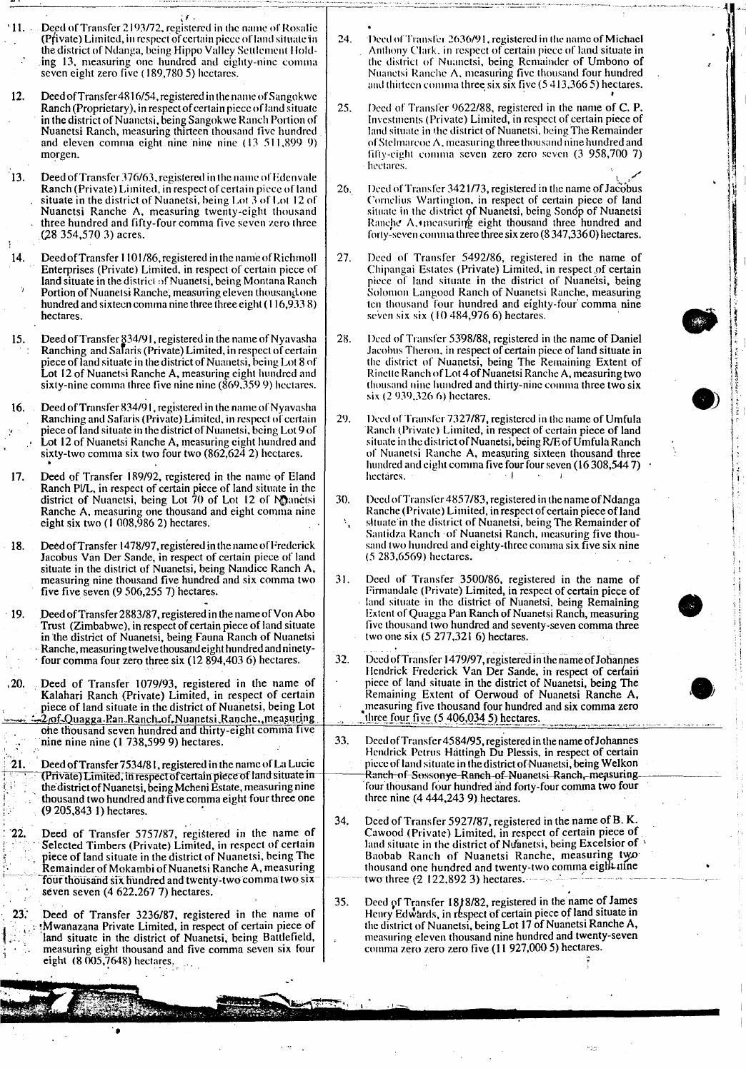|                   | $11.$ Deed of Transfer 2193/72, registered in the name of Rosalie<br>(Pfivate) Limited, in respect of certain piece of land situate in<br>the district of Ndanga, being Hippo Valley Settlement Hold-<br>ing 13, measuring one hundred and eighty-nine comma<br>seven eight zero five (189,780 5) hectares.                                                                                                                      | 24. | Deed of Transfer 2636/91, registered in the name of Michael<br>Anthony Clark, in respect of certain piece of land situate in<br>the district of Nuanetsi, being Remainder of Umbono of<br>Nuanetsi Ranche A, measuring five thousand four hundred<br>and thirteen comma three six six five (5413,3665) hectares.                                                                    |  |
|-------------------|----------------------------------------------------------------------------------------------------------------------------------------------------------------------------------------------------------------------------------------------------------------------------------------------------------------------------------------------------------------------------------------------------------------------------------|-----|-------------------------------------------------------------------------------------------------------------------------------------------------------------------------------------------------------------------------------------------------------------------------------------------------------------------------------------------------------------------------------------|--|
| 12.               | Deed of Transfer 4816/54, registered in the name of Sangokwe<br>Ranch (Proprietary), in respect of certain piece of land situate<br>in the district of Nuanetsi, being Sangokwe Ranch Portion of<br>Nuanetsi Ranch, measuring thirteen thousand five hundred<br>and eleven comma eight nine nine nine (13 511,899 9)<br>morgen.                                                                                                  | 25. | Deed of Transfer 9622/88, registered in the name of C. P.<br>Investments (Private) Limited, in respect of certain piece of<br>land situate in the district of Nuanetsi, being The Remainder<br>of Stelmarcoe $\Lambda$ , measuring three thousand nine hundred and<br>fifty-eight comma seven zero zero seven (3 958,700 7)<br>hectares.                                            |  |
| <sup>13.</sup>    | Deed of Transfer 376/63, registered in the name of Edenvale<br>Ranch (Private) Limited, in respect of certain piece of land<br>situate in the district of Nuanetsi, being Lot 3 of Lot 12 of<br>Nuanetsi Ranche A, measuring twenty-eight thousand<br>three hundred and fifty-four comma five seven zero three<br>$(28\;354,570\;3)$ acres.                                                                                      | 26. | Deed of Transfer 3421/73, registered in the name of Jacobus<br>Cornelius Wartington, in respect of certain piece of land<br>situate in the district of Nuanetsi, being Sonop of Nuanetsi<br>Ranche A, measuring eight thousand three hundred and<br>forty-seven comma three three six zero (8 347,3360) hectares.                                                                   |  |
| 14.               | Deed of Transfer 1101/86, registered in the name of Richmoll<br>Enterprises (Private) Limited, in respect of certain piece of<br>land situate in the district of Nuanetsi, being Montana Ranch<br>Portion of Nuanetsi Ranche, measuring eleven thousand one<br>hundred and sixteen comma nine three three eight (116,9338)<br>hectares.                                                                                          | 27. | Deed of Transfer 5492/86, registered in the name of<br>Chipangai Estates (Private) Limited, in respect of certain<br>piece of land situate in the district of Nuanetsi, being<br>Solomon Langoed Ranch of Nuanetsi Ranche, measuring<br>ten thousand four hundred and eighty-four comma nine<br>seven six six $(10484,9766)$ hectares.                                              |  |
| 15.               | Deed of Transfer § 34/91, registered in the name of Nyavasha<br>Ranching and Safaris (Private) Limited, in respect of certain<br>piece of land situate in the district of Nuanetsi, being Lot 8 of<br>Lot 12 of Nuanetsi Ranche A, measuring eight hundred and<br>sixty-nine comma three five nine nine (869, 359 9) hectares.                                                                                                   | 28. | Deed of Transfer 5398/88, registered in the name of Daniel<br>Jacobus Theron, in respect of certain piece of land situate in<br>the district of Nuanetsi, being The Remaining Extent of<br>Rinette Ranch of Lot 4 of Nuanetsi Ranche A, measuring two<br>thousand nine hundred and thirty-nine comma three two six<br>six (2.939,326.6) hectares.                                   |  |
| 16.<br>17.        | Deed of Transfer 834/91, registered in the name of Nyavasha<br>Ranching and Safaris (Private) Limited, in respect of certain<br>piece of land situate in the district of Nuanetsi, being Lot 9 of<br>Lot 12 of Nuanetsi Ranche A, measuring eight hundred and<br>sixty-two comma six two four two (862,624 2) hectares.<br>Deed of Transfer 189/92, registered in the name of Eland                                              | 29. | Deed of Transfer 7327/87, registered in the name of Umfula<br>Ranch (Private) Limited, in respect of certain piece of land<br>situate in the district of Nuanetsi, being R/E of Umfula Ranch<br>of Nuanetsi Ranche A, measuring sixteen thousand three<br>hundred and eight comma five four four seven (16 308,544 7)<br>hectares.                                                  |  |
|                   | Ranch Pl/L, in respect of certain piece of land situate in the<br>district of Nuanetsi, being Lot 70 of Lot 12 of Manetsi<br>Ranche A, measuring one thousand and eight comma nine<br>eight six two $(1008,9862)$ hectares.<br>Deed of Transfer 1478/97, registered in the name of Frederick                                                                                                                                     | 30. | Deed of Transfer 4857/83, registered in the name of Ndanga<br>Ranche (Private) Limited, in respect of certain piece of land<br>situate in the district of Nuanetsi, being The Remainder of<br>Santidza Ranch of Nuanetsi Ranch, measuring five thou-<br>sand two hundred and eighty-three comma six five six nine                                                                   |  |
| 18.<br>19.        | Jacobus Van Der Sande, in respect of certain piece of land<br>situate in the district of Nuanetsi, being Nandice Ranch A,<br>measuring nine thousand five hundred and six comma two<br>five five seven $(9\,506,255\,7)$ hectares.<br>Deed of Transfer 2883/87, registered in the name of Von Abo<br>Trust (Zimbabwe), in respect of certain piece of land situate<br>in the district of Nuanetsi, being Fauna Ranch of Nuanetsi | 31. | $(5283, 6569)$ hectares.<br>Deed of Transfer 3500/86, registered in the name of<br>Firmandale (Private) Limited, in respect of certain piece of<br>land situate in the district of Nuanetsi, being Remaining<br>Extent of Quagga Pan Ranch of Nuanetsi Ranch, measuring<br>five thousand two hundred and seventy-seven comma three<br>two one six $(5\ 277,321\ 6)$ hectares.       |  |
| , 20.             | Ranche, measuring twelve thousand eight hundred and ninety-<br>four comma four zero three six (12 894,403 6) hectares.<br>Deed of Transfer 1079/93, registered in the name of<br>Kalahari Ranch (Private) Limited, in respect of certain<br>piece of land situate in the district of Nuanetsi, being Lot<br>: 270f.Quagga.Ran.Ranch.of.Nuanetsi.Ranche., measuring.                                                              | 32. | Deed of Transfer 1479/97, registered in the name of Johannes<br>Hendrick Frederick Van Der Sande, in respect of certain<br>piece of land situate in the district of Nuanetsi, being The<br>Remaining Extent of Oerwoud of Nuanetsi Ranche A,<br>measuring five thousand four hundred and six comma zero<br>three four five $(5, 406, 034, 5)$ hectares.                             |  |
| $\overline{21}$ . | one thousand seven hundred and thirty-eight comma five<br>nine nine nine (1 738,599 9) hectares.<br>Deed of Transfer 7534/81, registered in the name of La Lucie<br>(Private) Limited, in respect of certain piece of land situate in<br>the district of Nuanetsi, being Mcheni Estate, measuring nine                                                                                                                           | 33. | Deed of Transfer 4584/95, registered in the name of Johannes<br>Hendrick Petrus Hattingh Du Plessis, in respect of certain<br>piece of land situate in the district of Nuanetsi, being Welkon<br>Ranch of Sossonye-Ranch of Nuanetsi Ranch, measuring<br>four thousand four hundred and forty-four comma two four                                                                   |  |
| 22.               | thousand two hundred and five comma eight four three one<br>$(9\,205,843\,1)$ hectares.<br>Deed of Transfer 5757/87, registered in the name of<br>Selected Timbers (Private) Limited, in respect of certain<br>piece of land situate in the district of Nuanetsi, being The<br>Remainder of Mokambi of Nuanetsi Ranche A, measuring<br>four thousand six hundred and twenty-two comma two six                                    | 34. | three nine $(4\,444,243\,9)$ hectares.<br>Deed of Transfer 5927/87, registered in the name of B.K.<br>Cawood (Private) Limited, in respect of certain piece of<br>land situate in the district of Nuanetsi, being Excelsior of<br>Baobab Ranch of Nuanetsi Ranche, measuring two<br>thousand one hundred and twenty-two comma eight afne<br>two three $(2 \ 122,892 \ 3)$ hectares. |  |
| 23.               | seven seven $(4622,2677)$ hectares.<br>Deed of Transfer 3236/87, registered in the name of<br>Mwanazana Private Limited, in respect of certain piece of<br>land situate in the district of Nuanetsi, being Battlefield,<br>measuring eight thousand and five comma seven six four<br>eight $(8005,7648)$ hectares.                                                                                                               | 35. | Deed of Transfer 18/8/82, registered in the name of James<br>Henry Edwards, in respect of certain piece of land situate in<br>the district of Nuanetsi, being Lot 17 of Nuanetsi Ranche A,<br>measuring eleven thousand nine hundred and twenty-seven<br>comma zero zero zero five (11 927,000 5) hectares.                                                                         |  |
|                   |                                                                                                                                                                                                                                                                                                                                                                                                                                  |     |                                                                                                                                                                                                                                                                                                                                                                                     |  |
|                   |                                                                                                                                                                                                                                                                                                                                                                                                                                  |     |                                                                                                                                                                                                                                                                                                                                                                                     |  |

I

; !

-14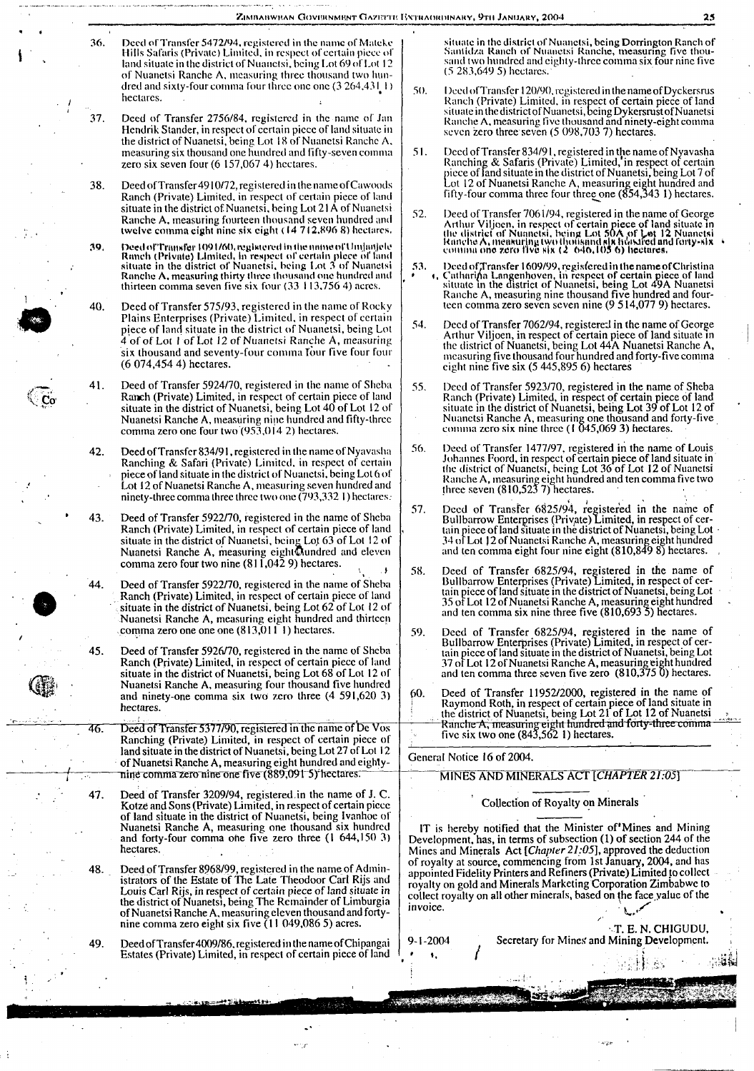Deed of Transfer 5472/94, registered in the name of Mateke Hills Safaris (Private) Limited, in respect of certain piece of land situate in the district of Nuanetsi, being Lot 69 of Lot 12 of Nuanetsi Ranche A, measuring three thousand two hundred and sixty-four comma four three one one (3 264,431 1) hectares. 36.

i .

!

 $\mathbb{C}^{\mathbf{C}^{\mathbf{C}}}$ 

**.** /

- 37. Deed of Transfer 2756/84, registered in the name of Jan Hendrik Stander, in respect of certain piece of land situate in the district of Nuanetsi, being Lot 18 of Nuanetsi Ranchc A, measuring six thousand one hundred and fifty-seven comma zero six seven four (6 157,067 4) hectares.
- 38. Deed of Transfer 4910/72, registered in the name of Cawoods Ranch (Private) Limited, in respect of certain piece of land situate in the district of Nuanetsi, being Lot 21A of Nuanetsi Ranche A, measuring fourteen thousand seven hundred and twelve comma eight nine six eight (14 712.896 8) hectares.
- 39. DeedofTi'niisrei' 109l/60,reglstereil lnihemimeofUmjmt|ele Ranch (Private) Limited, in respect of certain piece of fand<br>situate in the district of Nuanetsi, being Lot 3 of Nuanetsi<br>Ranche A, measuring thirty three thousand one hundred and thirteen comma seven five six four (33 <sup>I</sup> 13,756 4) acres.
- 40. Deed of Transfer 575/93, registered in the name of Rocky Plains Enterprises (Private) Limited, in respect of certain piece of land situate in the district of Nuanetsi, being Lot 4 of of Lot <sup>I</sup> of Lot 12 of Nuanetsi Ranche A, measuring six thousand and seventy-four comma four five four four (6 074,454 4) hectares. <sup>1</sup> 40. Deed of Transfer 575/93, registered in the name of Rocky<br>Plains Enterprises (Private) Limited, in respect of certain<br>piece of land situate in the district of Nuanetsi, being Lot<br>4 of of Lot 1 of Lot 12 of Nuanetsi
	- 41. Deed of Transfer 5924/70, registered in the name of Sheba Ranch (Private) Limited, in respect of certain piece of land situate in the district of Nuanetsi, being Lot 40 of Lot 12 of Nuanetsi Ranche A, measuring nine hundred and fifty-three comma zero one four two (933,014 2) hectares.
	- 42. Deed of Transfer 834/91, registered in the name of Nyavasha Ranching & Safari (Private) Limited, in respect of certain piece of land situate in the district of Nuanetsi, being Lot 6 of Lot 12 of Nuanetsi Ranche A, measuring seven hundred and ninety-three comma three three two one (793,332 1) hectares.
	- 43. Deed of Transfer 5922/70, registered in the name of Sheba Ranch (Private) Limited, in respect of certain piece of land situate in the district of Nuanetsi, being Lot 63 of Lot 12 of<br>Nuanetsi Ranche A, measuring eight@undred and eleven comma zero four two nine  $(811,042,9)$  hectares.
	- 44. Deed of Transfer 5922/70, registered in the name of Sheba Ranch (Private) Limited, in respect of certain piece of land situate in the district of Nuanetsi, being Lot 62 of Lot 12 of Nuanetsi Ranche A, measuring eight hundred and thirteen comma zero one one one (813,0111) hectares.
	- 45. Deed of Transfer 5926/70, registered in the name of Sheba Ranch (Private) Limited, in respect of certain piece of land situate in the district of Nuanetsi, being Lot 68 of Lot 12 of Nuanetsi Ranche A, measuring four thousand five hundred and ninety-one comma six two zero three (4 591,620 3) hectares.
	- 46. Deed of Transfer 5377/90, registered in the name of De Vos Ranching (Private) Limited, in respect of certain piece of land situate in the district of Nuanetsi, being Lot 27 of Lot 12 of Nuanetsi Ranche A, measuring eight hundred and eighty- $\frac{1}{1}$  mine comma zero nine one five (889,091 5) hectares. MINES AND MINERALS *ACT* [CHAPTER 21.05]
		- 47. Deed of Transfer 3209/94, registered,in the name of J. C. Kotze and Sons(Private) Limited, in respect of certain piece of land situate in the district of Nuanetsi, being Ivanhoe of Nuanetsi Ranche A, measuring one thousand six hundred and forty-four comma ohe five zero three (1 644,150 3) hectares,
		- 48. Deed of Transfer 8968/99, registered in the name of Administrators of the Estate of The Late Theodoor Carl Rijs and Louis Carl Rijs, in respect of certain piece of land situate in the district of Nuanetsi, being The Remainder of Limburgia ofNuanetsi Ranche A, measuringeleven thousand and forty-nine comma zero eight six five (11 049,086 5) acres.
		- 49. Deed of Transfer 4009/86, registered in the name of Chipangai Estates (Private) Limited, in respect of certain piece of land

situate in the district of Nuanetsi, <mark>being Dorrington Ranch of</mark><br>Santidza-Ranch-of-Nuanetsi-Ranch<mark>e, measuring five</mark> thou-<br>sand two hundred and eighty-three comma six four nine five (5 283,649 5) hectares.

- .30. DeedofTransfer 120/90, registered in the nameofDyckersrus Ranch (Private) Limited, in respect of certain piece of land situate in thedistrictofNuanetsi, being DykersrustofNuanetsi Ranche A, measuring five thousand and ninety-eight comma seven zero three seven (5 098,703 7) hectares.
- 51. Deed of Transfer 834/91, registered in the name of Nyavasha Ranching & Safaris (Private) Limited, in respect of certain<br>piece of land situate in the district of Nuanetsi, being Lot 7 of Lot 12 of Nuanetsi Ranche A, measuring eight hundred and<br>fifty-four comma three four three one (854,343 1) hectares.
- Deed of Transfer 7061/94, registered in the name of George Arthur Viljoen, in respect of certain piece of land situate in<br>the district of Nuanctsi, being Lot 50A of Let 12 Nuanctsi<br>Ranche A, measuring two thousand six hots feed and forty-six<br>commu one zero five six (2 . 646,105 6) 32.
- 53. Deed of Transfer 1609/99, registered in the name of Christina<br>
1. Catharina Langenhoven, in respect of certain piece of land<br>
situate in the district of Nuanetsi, being Lot 49A Nuanetsi<br>
Ranche A, measuring nine thousa teen comma zero seven seven nine (9 514,077 9) hectares.
- Deed of Transfer 7062/94, registered in the name of George Arthur Viljoen, in respect of certain piece of land situate in the district of Nuanetsi, being Lot 44A Nuanetsi Ranche A, measuring five thousand four hundred and forty-five comma eight nine five six (5 445,895 6) hectares
- Deed of Transfer 5923/70, registered in the name of Sheba Ranch (Private) Limited, in respect of certain piece of land situate in the district of Nuanetsi, being Lot 39 of Lot 12 of Nuanetsi Ranche A, measuring one thousand and forty-five comma zero six nine three (I 045,069 3) hectares. .35.
- Deed of Transfer 1477/97, registered in the name of Louis Johannes Foord, in respect of certain piece of land situate in<br>the district of Nuanetsi, being Lot 36 of Lot 12 of Nuanetsi<br>Ranche A, measuring eight hundred and ten comma five two three seven (810,523 7) hectares. 36.
- Deed of Transfer 6825/94, registered in the name of Bullbarrow Enterprises (Private) Limited, in respect of cer-<br>tain piece of land situate in the district of Nuanetsi, being Lot 34 ofLot 12 ofNuanetsi Ranche A, measuring eight hundred and ten comma eight four nine eight (810,849 8) hectares. . 57.
- Deed of Transfer 6825/94, registered in the name of Bullbarrow Enterprises (Private) Limited, in respect of cer-<br>tain piece of land situate in the district of Nuanetsi, being Lot<br>35 of Lot 12 of Nuanetsi Ranche A, measuring eight hundred and ten comma six nine three five (810,693 5) hectares. ) 58.
- Deed of Transfer 6825/94, registered in the name of Bullbarrow Enterprises (Private) Limited, in respect of certain piece of land situate in the district of Nuanetsi, being Lot 37 ofLot 12 ofNuanetsi Ranche A, measuring eight hundred and ten comma three seven five zero (810,375 0) hectares. 59.
- 60. Deed of Transfer 11952/2000, registered in the name of **Raymond Roth, in respect of certain piece of land situate in**<br>the district of Nuanetsi, being Lot 21 of Lot 12 of Nuanetsi  $\blacksquare$  Ranche A, measuring eight hundred and forty-three comma five six two one  $(843, 5621)$  hectares.

#### General Notice 16 of 2004.

**/**

**STANDARD STAR** 

#### Collection of Royalty on Minerals

IT is hereby notified that the Minister of'Mines and Mining Development, has, in terms of subsection (1) of section 244 of the Mines and Minerals Act *[Chapter 21:05],* approved the deduction of royalty at source, commencing from 1st January, 2004, and has appointed Fidelity Printers and Refiners(Private)Limited to collect royalty on gold and Minerals Marketing Corporation Zimbabwe to collect royalty on all other minerals, based on the face value of the invoice.

T. E. N. CHIGUDU, 9-1-2004 Secretary for Mines and Mining Development.<br> **1**